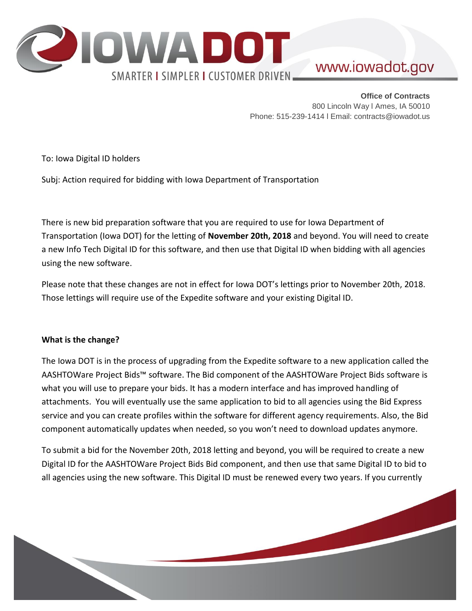

# www.iowadot.gov

**Office of Contracts** 800 Lincoln Way l Ames, IA 50010 Phone: 515-239-1414 l Email: contracts@iowadot.us

To: Iowa Digital ID holders

Subj: Action required for bidding with Iowa Department of Transportation

There is new bid preparation software that you are required to use for Iowa Department of Transportation (Iowa DOT) for the letting of **November 20th, 2018** and beyond. You will need to create a new Info Tech Digital ID for this software, and then use that Digital ID when bidding with all agencies using the new software.

Please note that these changes are not in effect for Iowa DOT's lettings prior to November 20th, 2018. Those lettings will require use of the Expedite software and your existing Digital ID.

### **What is the change?**

The Iowa DOT is in the process of upgrading from the Expedite software to a new application called the AASHTOWare Project Bids™ software. The Bid component of the AASHTOWare Project Bids software is what you will use to prepare your bids. It has a modern interface and has improved handling of attachments. You will eventually use the same application to bid to all agencies using the Bid Express service and you can create profiles within the software for different agency requirements. Also, the Bid component automatically updates when needed, so you won't need to download updates anymore.

To submit a bid for the November 20th, 2018 letting and beyond, you will be required to create a new Digital ID for the AASHTOWare Project Bids Bid component, and then use that same Digital ID to bid to all agencies using the new software. This Digital ID must be renewed every two years. If you currently

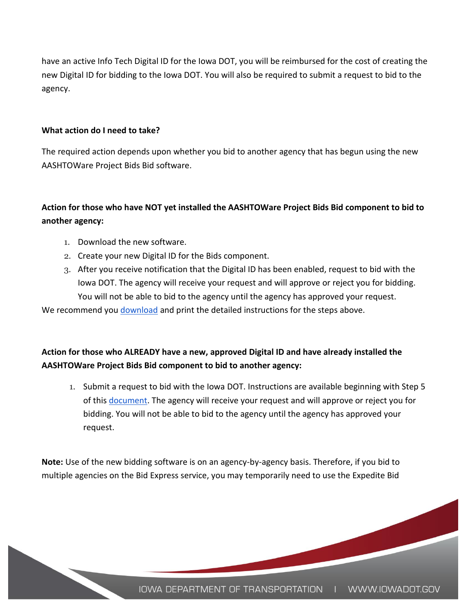have an active Info Tech Digital ID for the Iowa DOT, you will be reimbursed for the cost of creating the new Digital ID for bidding to the Iowa DOT. You will also be required to submit a request to bid to the agency.

#### **What action do I need to take?**

The required action depends upon whether you bid to another agency that has begun using the new AASHTOWare Project Bids Bid software.

# **Action for those who have NOT yet installed the AASHTOWare Project Bids Bid component to bid to another agency:**

- 1. Download the new software.
- 2. Create your new Digital ID for the Bids component.
- 3. After you receive notification that the Digital ID has been enabled, request to bid with the Iowa DOT. The agency will receive your request and will approve or reject you for bidding. You will not be able to bid to the agency until the agency has approved your request.

We recommend yo[u](https://www.infotechfl.com/downloads/bidx/Quick_Start_bidding_w_AASHTOWare_Project_Bids_Bid.pdf) [download](https://www.infotechfl.com/downloads/bidx/Quick_Start_bidding_w_AASHTOWare_Project_Bids_Bid.pdf) and print the detailed instructions for the steps above.

## **Action for those who ALREADY have a new, approved Digital ID and have already installed the AASHTOWare Project Bids Bid component to bid to another agency:**

1. Submit a request to bid with the Iowa DOT. Instructions are available beginning with Step 5 of thi[s](https://www.infotechfl.com/downloads/bidx/Quick_Start_bidding_w_AASHTOWare_Project_Bids_Bid.pdf) [document.](https://www.infotechfl.com/downloads/bidx/Quick_Start_bidding_w_AASHTOWare_Project_Bids_Bid.pdf) The agency will receive your request and will approve or reject you for bidding. You will not be able to bid to the agency until the agency has approved your request.

**Note:** Use of the new bidding software is on an agency-by-agency basis. Therefore, if you bid to multiple agencies on the Bid Express service, you may temporarily need to use the Expedite Bid